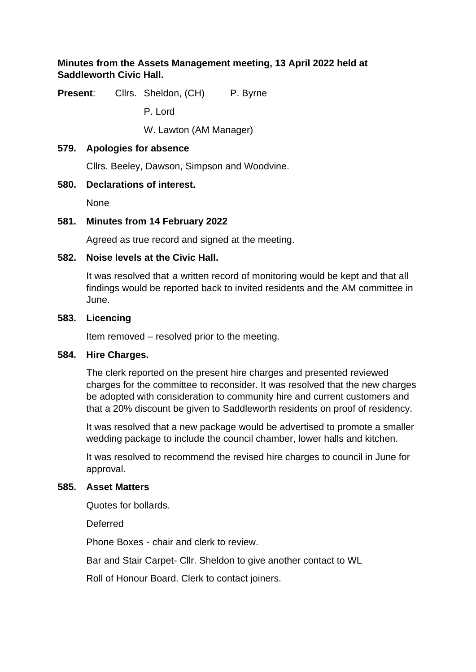## **Minutes from the Assets Management meeting, 13 April 2022 held at Saddleworth Civic Hall.**

**Present:** Cllrs. Sheldon, (CH) P. Byrne

P. Lord

W. Lawton (AM Manager)

#### **579. Apologies for absence**

Cllrs. Beeley, Dawson, Simpson and Woodvine.

## **580. Declarations of interest.**

None

## **581. Minutes from 14 February 2022**

Agreed as true record and signed at the meeting.

## **582. Noise levels at the Civic Hall.**

It was resolved that a written record of monitoring would be kept and that all findings would be reported back to invited residents and the AM committee in June.

#### **583. Licencing**

Item removed – resolved prior to the meeting.

#### **584. Hire Charges.**

The clerk reported on the present hire charges and presented reviewed charges for the committee to reconsider. It was resolved that the new charges be adopted with consideration to community hire and current customers and that a 20% discount be given to Saddleworth residents on proof of residency.

It was resolved that a new package would be advertised to promote a smaller wedding package to include the council chamber, lower halls and kitchen.

It was resolved to recommend the revised hire charges to council in June for approval.

#### **585. Asset Matters**

Quotes for bollards.

**Deferred** 

Phone Boxes - chair and clerk to review.

Bar and Stair Carpet- Cllr. Sheldon to give another contact to WL

Roll of Honour Board. Clerk to contact joiners.